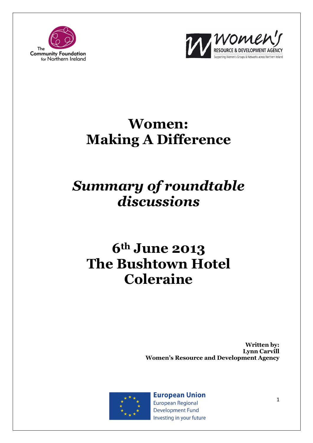



# **Women: Making A Difference**

# *Summary of roundtable discussions*

# **6th June 2013 The Bushtown Hotel Coleraine**

**Written by: Lynn Carvill Women's Resource and Development Agency**



**European Union European Regional Development Fund** Investing in your future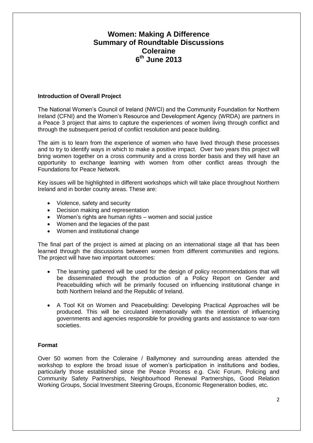# **Women: Making A Difference Summary of Roundtable Discussions Coleraine 6 th June 2013**

#### **Introduction of Overall Project**

The National Women's Council of Ireland (NWCI) and the Community Foundation for Northern Ireland (CFNI) and the Women's Resource and Development Agency (WRDA) are partners in a Peace 3 project that aims to capture the experiences of women living through conflict and through the subsequent period of conflict resolution and peace building.

The aim is to learn from the experience of women who have lived through these processes and to try to identify ways in which to make a positive impact. Over two years this project will bring women together on a cross community and a cross border basis and they will have an opportunity to exchange learning with women from other conflict areas through the Foundations for Peace Network.

Key issues will be highlighted in different workshops which will take place throughout Northern Ireland and in border county areas. These are:

- Violence, safety and security
- Decision making and representation
- Women's rights are human rights women and social justice
- Women and the legacies of the past
- Women and institutional change

The final part of the project is aimed at placing on an international stage all that has been learned through the discussions between women from different communities and regions. The project will have two important outcomes:

- The learning gathered will be used for the design of policy recommendations that will be disseminated through the production of a Policy Report on Gender and Peacebuilding which will be primarily focused on influencing institutional change in both Northern Ireland and the Republic of Ireland.
- A Tool Kit on Women and Peacebuilding: Developing Practical Approaches will be produced. This will be circulated internationally with the intention of influencing governments and agencies responsible for providing grants and assistance to war-torn societies.

## **Format**

Over 50 women from the Coleraine / Ballymoney and surrounding areas attended the workshop to explore the broad issue of women's participation in institutions and bodies, particularly those established since the Peace Process e.g. Civic Forum, Policing and Community Safety Partnerships, Neighbourhood Renewal Partnerships, Good Relation Working Groups, Social Investment Steering Groups, Economic Regeneration bodies, etc.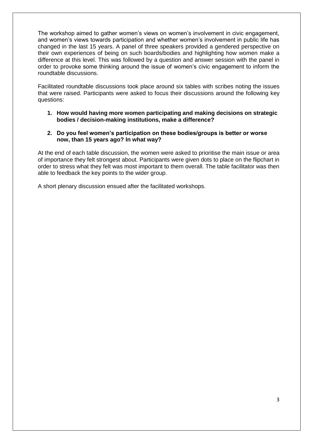The workshop aimed to gather women's views on women's involvement in civic engagement, and women's views towards participation and whether women's involvement in public life has changed in the last 15 years. A panel of three speakers provided a gendered perspective on their own experiences of being on such boards/bodies and highlighting how women make a difference at this level. This was followed by a question and answer session with the panel in order to provoke some thinking around the issue of women's civic engagement to inform the roundtable discussions.

Facilitated roundtable discussions took place around six tables with scribes noting the issues that were raised. Participants were asked to focus their discussions around the following key questions:

- **1. How would having more women participating and making decisions on strategic bodies / decision-making institutions, make a difference?**
- **2. Do you feel women's participation on these bodies/groups is better or worse now, than 15 years ago? In what way?**

At the end of each table discussion, the women were asked to prioritise the main issue or area of importance they felt strongest about. Participants were given dots to place on the flipchart in order to stress what they felt was most important to them overall. The table facilitator was then able to feedback the key points to the wider group.

A short plenary discussion ensued after the facilitated workshops.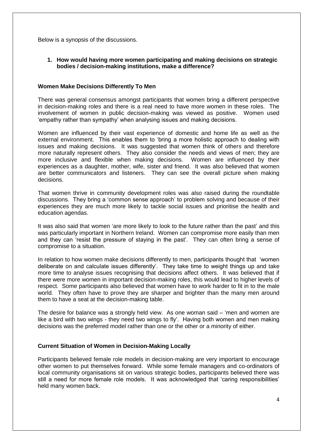Below is a synopsis of the discussions.

## **1. How would having more women participating and making decisions on strategic bodies / decision-making institutions, make a difference?**

#### **Women Make Decisions Differently To Men**

There was general consensus amongst participants that women bring a different perspective in decision-making roles and there is a real need to have more women in these roles. The involvement of women in public decision-making was viewed as positive. Women used 'empathy rather than sympathy' when analysing issues and making decisions.

Women are influenced by their vast experience of domestic and home life as well as the external environment. This enables them to 'bring a more holistic approach to dealing with issues and making decisions. It was suggested that women think of others and therefore more naturally represent others. They also consider the needs and views of men; they are more inclusive and flexible when making decisions. Women are influenced by their experiences as a daughter, mother, wife, sister and friend. It was also believed that women are better communicators and listeners. They can see the overall picture when making decisions.

That women thrive in community development roles was also raised during the roundtable discussions. They bring a 'common sense approach' to problem solving and because of their experiences they are much more likely to tackle social issues and prioritise the health and education agendas.

It was also said that women 'are more likely to look to the future rather than the past' and this was particularly important in Northern Ireland. Women can compromise more easily than men and they can 'resist the pressure of staying in the past'. They can often bring a sense of compromise to a situation.

In relation to how women make decisions differently to men, participants thought that 'women deliberate on and calculate issues differently'. They take time to weight things up and take more time to analyse issues recognising that decisions affect others. It was believed that if there were more women in important decision-making roles, this would lead to higher levels of respect. Some participants also believed that women have to work harder to fit in to the male world. They often have to prove they are sharper and brighter than the many men around them to have a seat at the decision-making table.

The desire for balance was a strongly held view. As one woman said – 'men and women are like a bird with two wings - they need two wings to fly'. Having both women and men making decisions was the preferred model rather than one or the other or a minority of either.

## **Current Situation of Women in Decision-Making Locally**

Participants believed female role models in decision-making are very important to encourage other women to put themselves forward. While some female managers and co-ordinators of local community organisations sit on various strategic bodies, participants believed there was still a need for more female role models. It was acknowledged that 'caring responsibilities' held many women back.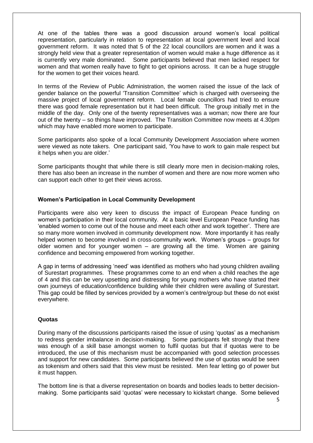At one of the tables there was a good discussion around women's local political representation, particularly in relation to representation at local government level and local government reform. It was noted that 5 of the 22 local councillors are women and it was a strongly held view that a greater representation of women would make a huge difference as it is currently very male dominated. Some participants believed that men lacked respect for women and that women really have to fight to get opinions across. It can be a huge struggle for the women to get their voices heard.

In terms of the Review of Public Administration, the women raised the issue of the lack of gender balance on the powerful 'Transition Committee' which is charged with overseeing the massive project of local government reform. Local female councillors had tried to ensure there was good female representation but it had been difficult. The group initially met in the middle of the day. Only one of the twenty representatives was a woman; now there are four out of the twenty – so things have improved. The Transition Committee now meets at 4.30pm which may have enabled more women to participate.

Some participants also spoke of a local Community Development Association where women were viewed as note takers. One participant said, 'You have to work to gain male respect but it helps when you are older.'

Some participants thought that while there is still clearly more men in decision-making roles, there has also been an increase in the number of women and there are now more women who can support each other to get their views across.

# **Women's Participation in Local Community Development**

Participants were also very keen to discuss the impact of European Peace funding on women's participation in their local community. At a basic level European Peace funding has 'enabled women to come out of the house and meet each other and work together'. There are so many more women involved in community development now. More importantly it has really helped women to become involved in cross-community work. Women's groups – groups for older women and for younger women – are growing all the time. Women are gaining confidence and becoming empowered from working together.

A gap in terms of addressing 'need' was identified as mothers who had young children availing of Surestart programmes. These programmes come to an end when a child reaches the age of 4 and this can be very upsetting and distressing for young mothers who have started their own journeys of education/confidence building while their children were availing of Surestart. This gap could be filled by services provided by a women's centre/group but these do not exist everywhere.

## **Quotas**

During many of the discussions participants raised the issue of using 'quotas' as a mechanism to redress gender imbalance in decision-making. Some participants felt strongly that there was enough of a skill base amongst women to fulfil quotas but that if quotas were to be introduced, the use of this mechanism must be accompanied with good selection processes and support for new candidates. Some participants believed the use of quotas would be seen as tokenism and others said that this view must be resisted. Men fear letting go of power but it must happen.

The bottom line is that a diverse representation on boards and bodies leads to better decisionmaking. Some participants said 'quotas' were necessary to kickstart change. Some believed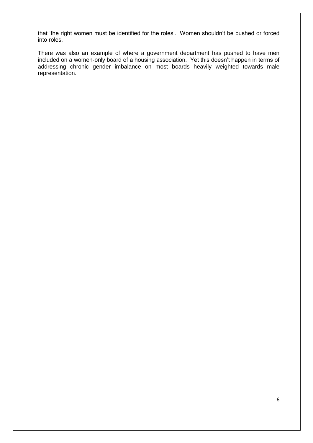that 'the right women must be identified for the roles'. Women shouldn't be pushed or forced into roles.

There was also an example of where a government department has pushed to have men included on a women-only board of a housing association. Yet this doesn't happen in terms of addressing chronic gender imbalance on most boards heavily weighted towards male representation.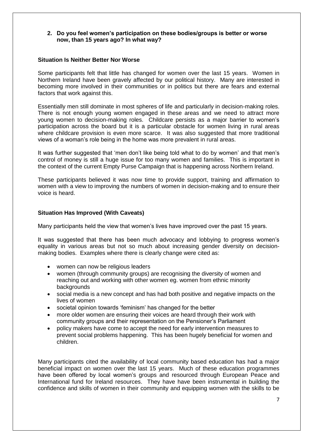#### **2. Do you feel women's participation on these bodies/groups is better or worse now, than 15 years ago? In what way?**

#### **Situation Is Neither Better Nor Worse**

Some participants felt that little has changed for women over the last 15 years. Women in Northern Ireland have been gravely affected by our political history. Many are interested in becoming more involved in their communities or in politics but there are fears and external factors that work against this.

Essentially men still dominate in most spheres of life and particularly in decision-making roles. There is not enough young women engaged in these areas and we need to attract more young women to decision-making roles. Childcare persists as a major barrier to women's participation across the board but it is a particular obstacle for women living in rural areas where childcare provision is even more scarce. It was also suggested that more traditional views of a woman's role being in the home was more prevalent in rural areas.

It was further suggested that 'men don't like being told what to do by women' and that men's control of money is still a huge issue for too many women and families. This is important in the context of the current Empty Purse Campaign that is happening across Northern Ireland.

These participants believed it was now time to provide support, training and affirmation to women with a view to improving the numbers of women in decision-making and to ensure their voice is heard.

## **Situation Has Improved (With Caveats)**

Many participants held the view that women's lives have improved over the past 15 years.

It was suggested that there has been much advocacy and lobbying to progress women's equality in various areas but not so much about increasing gender diversity on decisionmaking bodies. Examples where there is clearly change were cited as:

- women can now be religious leaders
- women (through community groups) are recognising the diversity of women and reaching out and working with other women eg. women from ethnic minority backgrounds
- social media is a new concept and has had both positive and negative impacts on the lives of women
- societal opinion towards 'feminism' has changed for the better
- more older women are ensuring their voices are heard through their work with community groups and their representation on the Pensioner's Parliament
- policy makers have come to accept the need for early intervention measures to prevent social problems happening. This has been hugely beneficial for women and children.

Many participants cited the availability of local community based education has had a major beneficial impact on women over the last 15 years. Much of these education programmes have been offered by local women's groups and resourced through European Peace and International fund for Ireland resources. They have have been instrumental in building the confidence and skills of women in their community and equipping women with the skills to be